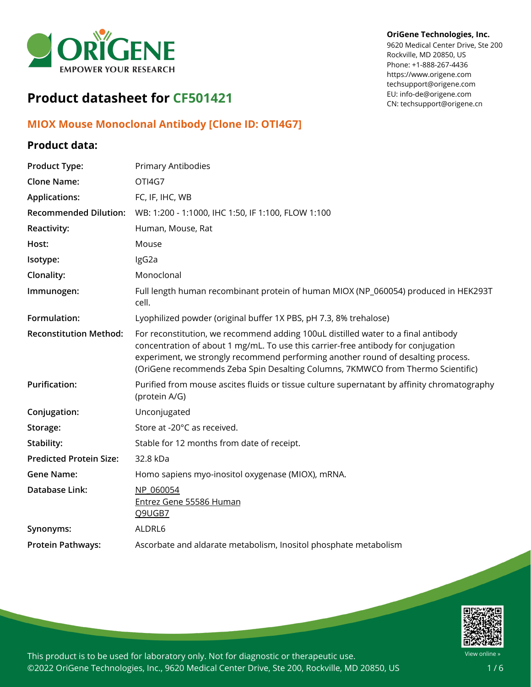

#### **OriGene Technologies, Inc.**

9620 Medical Center Drive, Ste 200 Rockville, MD 20850, US Phone: +1-888-267-4436 https://www.origene.com techsupport@origene.com EU: info-de@origene.com CN: techsupport@origene.cn

# **Product datasheet for CF501421**

### **MIOX Mouse Monoclonal Antibody [Clone ID: OTI4G7]**

## **Product data:**

| <b>Product Type:</b>           | Primary Antibodies                                                                                                                                                                                                                                                                                                                            |
|--------------------------------|-----------------------------------------------------------------------------------------------------------------------------------------------------------------------------------------------------------------------------------------------------------------------------------------------------------------------------------------------|
| <b>Clone Name:</b>             | OTI4G7                                                                                                                                                                                                                                                                                                                                        |
| <b>Applications:</b>           | FC, IF, IHC, WB                                                                                                                                                                                                                                                                                                                               |
| <b>Recommended Dilution:</b>   | WB: 1:200 - 1:1000, IHC 1:50, IF 1:100, FLOW 1:100                                                                                                                                                                                                                                                                                            |
| <b>Reactivity:</b>             | Human, Mouse, Rat                                                                                                                                                                                                                                                                                                                             |
| Host:                          | Mouse                                                                                                                                                                                                                                                                                                                                         |
| Isotype:                       | IgG2a                                                                                                                                                                                                                                                                                                                                         |
| Clonality:                     | Monoclonal                                                                                                                                                                                                                                                                                                                                    |
| Immunogen:                     | Full length human recombinant protein of human MIOX (NP_060054) produced in HEK293T<br>cell.                                                                                                                                                                                                                                                  |
| Formulation:                   | Lyophilized powder (original buffer 1X PBS, pH 7.3, 8% trehalose)                                                                                                                                                                                                                                                                             |
| <b>Reconstitution Method:</b>  | For reconstitution, we recommend adding 100uL distilled water to a final antibody<br>concentration of about 1 mg/mL. To use this carrier-free antibody for conjugation<br>experiment, we strongly recommend performing another round of desalting process.<br>(OriGene recommends Zeba Spin Desalting Columns, 7KMWCO from Thermo Scientific) |
| <b>Purification:</b>           | Purified from mouse ascites fluids or tissue culture supernatant by affinity chromatography<br>(protein A/G)                                                                                                                                                                                                                                  |
| Conjugation:                   | Unconjugated                                                                                                                                                                                                                                                                                                                                  |
| Storage:                       | Store at -20°C as received.                                                                                                                                                                                                                                                                                                                   |
| Stability:                     | Stable for 12 months from date of receipt.                                                                                                                                                                                                                                                                                                    |
| <b>Predicted Protein Size:</b> | 32.8 kDa                                                                                                                                                                                                                                                                                                                                      |
| <b>Gene Name:</b>              | Homo sapiens myo-inositol oxygenase (MIOX), mRNA.                                                                                                                                                                                                                                                                                             |
| Database Link:                 | NP 060054<br>Entrez Gene 55586 Human<br>Q9UGB7                                                                                                                                                                                                                                                                                                |
| Synonyms:                      | ALDRL6                                                                                                                                                                                                                                                                                                                                        |
| <b>Protein Pathways:</b>       | Ascorbate and aldarate metabolism, Inositol phosphate metabolism                                                                                                                                                                                                                                                                              |

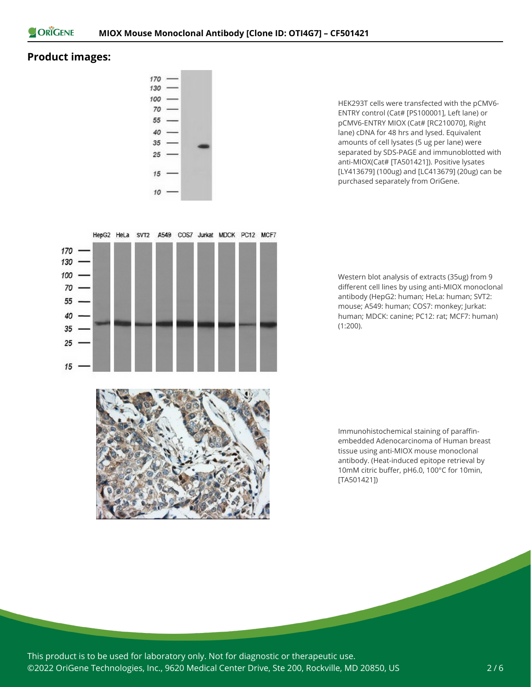

#### **Product images:**

15



HepG2 HeLa SVT2 A549 COS7 Jurkat MDCK PC12 MCF7

HEK293T cells were transfected with the pCMV6- ENTRY control (Cat# [PS100001], Left lane) or pCMV6-ENTRY MIOX (Cat# [RC210070], Right lane) cDNA for 48 hrs and lysed. Equivalent amounts of cell lysates (5 ug per lane) were separated by SDS-PAGE and immunoblotted with anti-MIOX(Cat# [TA501421]). Positive lysates [LY413679] (100ug) and [LC413679] (20ug) can be purchased separately from OriGene.

Western blot analysis of extracts (35ug) from 9 different cell lines by using anti-MIOX monoclonal antibody (HepG2: human; HeLa: human; SVT2: mouse; A549: human; COS7: monkey; Jurkat: human; MDCK: canine; PC12: rat; MCF7: human) (1:200).



Immunohistochemical staining of paraffinembedded Adenocarcinoma of Human breast tissue using anti-MIOX mouse monoclonal antibody. (Heat-induced epitope retrieval by 10mM citric buffer, pH6.0, 100°C for 10min, [TA501421])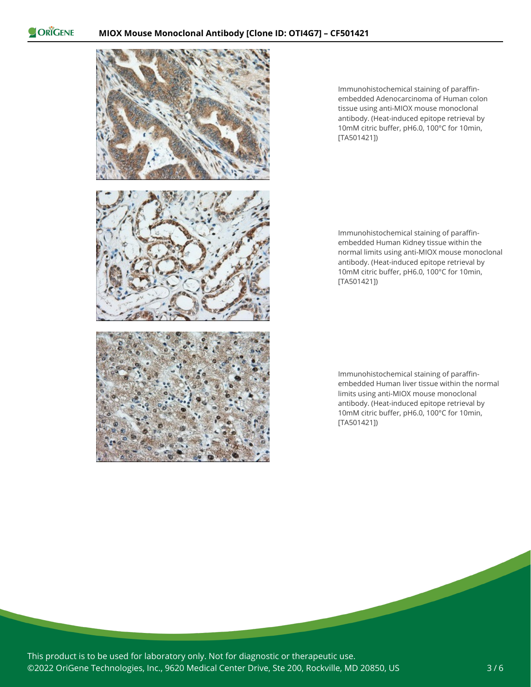ORIGENE



Immunohistochemical staining of paraffinembedded Adenocarcinoma of Human colon tissue using anti-MIOX mouse monoclonal antibody. (Heat-induced epitope retrieval by 10mM citric buffer, pH6.0, 100°C for 10min, [TA501421])

Immunohistochemical staining of paraffinembedded Human Kidney tissue within the normal limits using anti-MIOX mouse monoclonal antibody. (Heat-induced epitope retrieval by 10mM citric buffer, pH6.0, 100°C for 10min, [TA501421])

Immunohistochemical staining of paraffinembedded Human liver tissue within the normal limits using anti-MIOX mouse monoclonal antibody. (Heat-induced epitope retrieval by 10mM citric buffer, pH6.0, 100°C for 10min, [TA501421])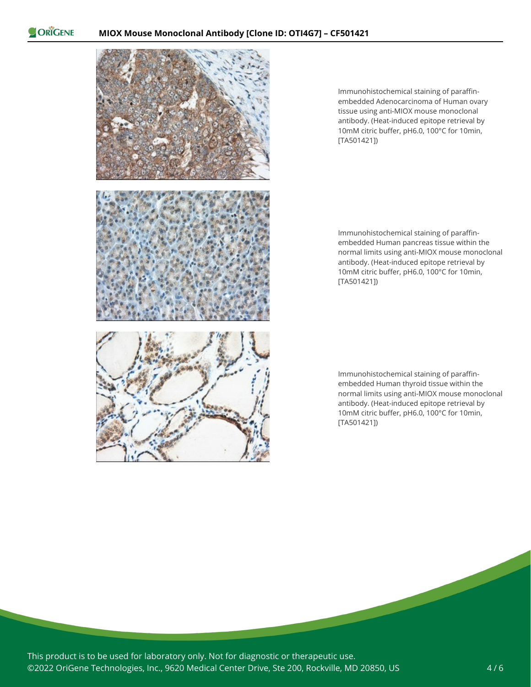ORIGENE



Immunohistochemical staining of paraffinembedded Adenocarcinoma of Human ovary tissue using anti-MIOX mouse monoclonal antibody. (Heat-induced epitope retrieval by 10mM citric buffer, pH6.0, 100°C for 10min, [TA501421])

Immunohistochemical staining of paraffinembedded Human pancreas tissue within the normal limits using anti-MIOX mouse monoclonal antibody. (Heat-induced epitope retrieval by 10mM citric buffer, pH6.0, 100°C for 10min, [TA501421])

Immunohistochemical staining of paraffinembedded Human thyroid tissue within the normal limits using anti-MIOX mouse monoclonal antibody. (Heat-induced epitope retrieval by 10mM citric buffer, pH6.0, 100°C for 10min, [TA501421])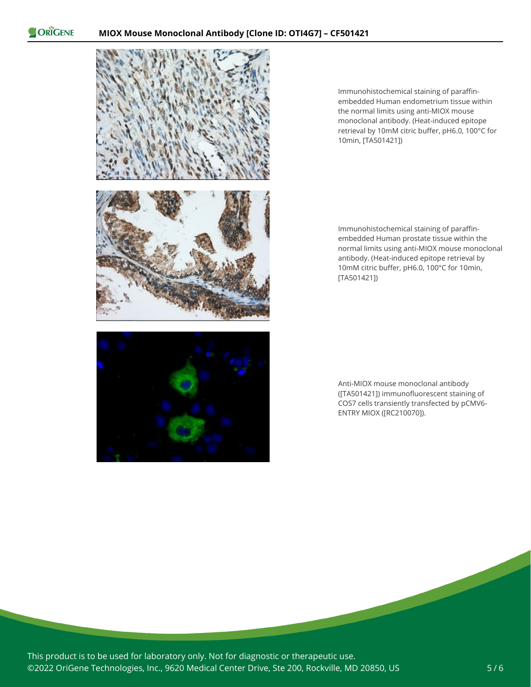ORIGENE



Immunohistochemical staining of paraffinembedded Human endometrium tissue within the normal limits using anti-MIOX mouse monoclonal antibody. (Heat-induced epitope retrieval by 10mM citric buffer, pH6.0, 100°C for 10min, [TA501421])

Immunohistochemical staining of paraffinembedded Human prostate tissue within the normal limits using anti-MIOX mouse monoclonal antibody. (Heat-induced epitope retrieval by 10mM citric buffer, pH6.0, 100°C for 10min, [TA501421])

Anti-MIOX mouse monoclonal antibody ([TA501421]) immunofluorescent staining of COS7 cells transiently transfected by pCMV6- ENTRY MIOX ([RC210070]).